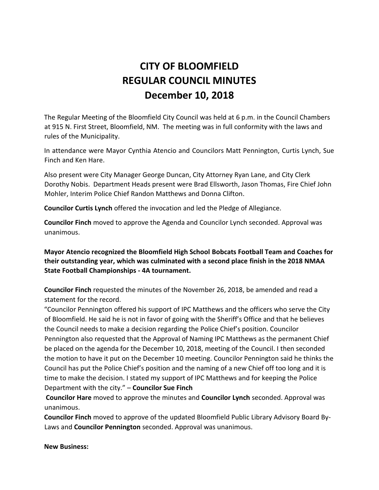# **CITY OF BLOOMFIELD REGULAR COUNCIL MINUTES December 10, 2018**

The Regular Meeting of the Bloomfield City Council was held at 6 p.m. in the Council Chambers at 915 N. First Street, Bloomfield, NM. The meeting was in full conformity with the laws and rules of the Municipality.

In attendance were Mayor Cynthia Atencio and Councilors Matt Pennington, Curtis Lynch, Sue Finch and Ken Hare.

Also present were City Manager George Duncan, City Attorney Ryan Lane, and City Clerk Dorothy Nobis. Department Heads present were Brad Ellsworth, Jason Thomas, Fire Chief John Mohler, Interim Police Chief Randon Matthews and Donna Clifton.

**Councilor Curtis Lynch** offered the invocation and led the Pledge of Allegiance.

**Councilor Finch** moved to approve the Agenda and Councilor Lynch seconded. Approval was unanimous.

**Mayor Atencio recognized the Bloomfield High School Bobcats Football Team and Coaches for their outstanding year, which was culminated with a second place finish in the 2018 NMAA State Football Championships - 4A tournament.** 

**Councilor Finch** requested the minutes of the November 26, 2018, be amended and read a statement for the record.

"Councilor Pennington offered his support of IPC Matthews and the officers who serve the City of Bloomfield. He said he is not in favor of going with the Sheriff's Office and that he believes the Council needs to make a decision regarding the Police Chief's position. Councilor Pennington also requested that the Approval of Naming IPC Matthews as the permanent Chief be placed on the agenda for the December 10, 2018, meeting of the Council. I then seconded the motion to have it put on the December 10 meeting. Councilor Pennington said he thinks the Council has put the Police Chief's position and the naming of a new Chief off too long and it is time to make the decision. I stated my support of IPC Matthews and for keeping the Police Department with the city." – **Councilor Sue Finch**

**Councilor Hare** moved to approve the minutes and **Councilor Lynch** seconded. Approval was unanimous.

**Councilor Finch** moved to approve of the updated Bloomfield Public Library Advisory Board By-Laws and **Councilor Pennington** seconded. Approval was unanimous.

**New Business:**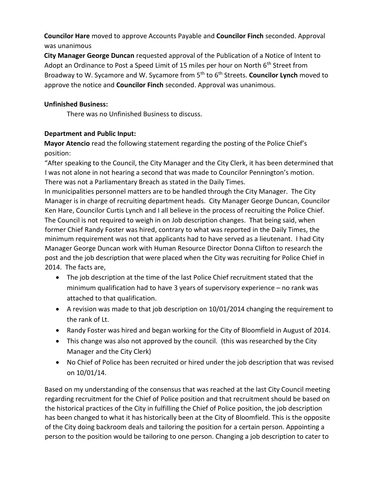**Councilor Hare** moved to approve Accounts Payable and **Councilor Finch** seconded. Approval was unanimous

**City Manager George Duncan** requested approval of the Publication of a Notice of Intent to Adopt an Ordinance to Post a Speed Limit of 15 miles per hour on North  $6<sup>th</sup>$  Street from Broadway to W. Sycamore and W. Sycamore from 5th to 6th Streets. **Councilor Lynch** moved to approve the notice and **Councilor Finch** seconded. Approval was unanimous.

### **Unfinished Business:**

There was no Unfinished Business to discuss.

## **Department and Public Input:**

**Mayor Atencio** read the following statement regarding the posting of the Police Chief's position:

"After speaking to the Council, the City Manager and the City Clerk, it has been determined that I was not alone in not hearing a second that was made to Councilor Pennington's motion. There was not a Parliamentary Breach as stated in the Daily Times.

In municipalities personnel matters are to be handled through the City Manager. The City Manager is in charge of recruiting department heads. City Manager George Duncan, Councilor Ken Hare, Councilor Curtis Lynch and I all believe in the process of recruiting the Police Chief. The Council is not required to weigh in on Job description changes. That being said, when former Chief Randy Foster was hired, contrary to what was reported in the Daily Times, the minimum requirement was not that applicants had to have served as a lieutenant. I had City Manager George Duncan work with Human Resource Director Donna Clifton to research the post and the job description that were placed when the City was recruiting for Police Chief in 2014. The facts are,

- The job description at the time of the last Police Chief recruitment stated that the minimum qualification had to have 3 years of supervisory experience – no rank was attached to that qualification.
- A revision was made to that job description on 10/01/2014 changing the requirement to the rank of Lt.
- Randy Foster was hired and began working for the City of Bloomfield in August of 2014.
- This change was also not approved by the council. (this was researched by the City Manager and the City Clerk)
- No Chief of Police has been recruited or hired under the job description that was revised on 10/01/14.

Based on my understanding of the consensus that was reached at the last City Council meeting regarding recruitment for the Chief of Police position and that recruitment should be based on the historical practices of the City in fulfilling the Chief of Police position, the job description has been changed to what it has historically been at the City of Bloomfield. This is the opposite of the City doing backroom deals and tailoring the position for a certain person. Appointing a person to the position would be tailoring to one person. Changing a job description to cater to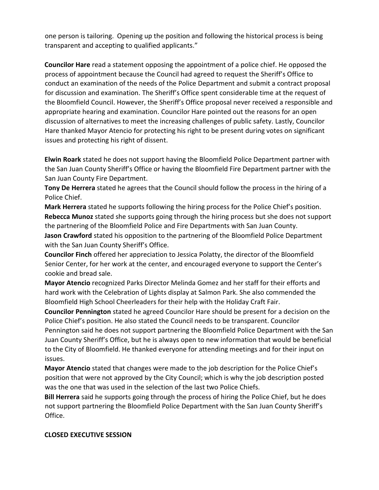one person is tailoring. Opening up the position and following the historical process is being transparent and accepting to qualified applicants."

**Councilor Hare** read a statement opposing the appointment of a police chief. He opposed the process of appointment because the Council had agreed to request the Sheriff's Office to conduct an examination of the needs of the Police Department and submit a contract proposal for discussion and examination. The Sheriff's Office spent considerable time at the request of the Bloomfield Council. However, the Sheriff's Office proposal never received a responsible and appropriate hearing and examination. Councilor Hare pointed out the reasons for an open discussion of alternatives to meet the increasing challenges of public safety. Lastly, Councilor Hare thanked Mayor Atencio for protecting his right to be present during votes on significant issues and protecting his right of dissent.

**Elwin Roark** stated he does not support having the Bloomfield Police Department partner with the San Juan County Sheriff's Office or having the Bloomfield Fire Department partner with the San Juan County Fire Department.

**Tony De Herrera** stated he agrees that the Council should follow the process in the hiring of a Police Chief.

**Mark Herrera** stated he supports following the hiring process for the Police Chief's position. **Rebecca Munoz** stated she supports going through the hiring process but she does not support the partnering of the Bloomfield Police and Fire Departments with San Juan County.

**Jason Crawford** stated his opposition to the partnering of the Bloomfield Police Department with the San Juan County Sheriff's Office.

**Councilor Finch** offered her appreciation to Jessica Polatty, the director of the Bloomfield Senior Center, for her work at the center, and encouraged everyone to support the Center's cookie and bread sale.

**Mayor Atencio** recognized Parks Director Melinda Gomez and her staff for their efforts and hard work with the Celebration of Lights display at Salmon Park. She also commended the Bloomfield High School Cheerleaders for their help with the Holiday Craft Fair.

**Councilor Pennington** stated he agreed Councilor Hare should be present for a decision on the Police Chief's position. He also stated the Council needs to be transparent. Councilor Pennington said he does not support partnering the Bloomfield Police Department with the San Juan County Sheriff's Office, but he is always open to new information that would be beneficial to the City of Bloomfield. He thanked everyone for attending meetings and for their input on issues.

**Mayor Atencio** stated that changes were made to the job description for the Police Chief's position that were not approved by the City Council; which is why the job description posted was the one that was used in the selection of the last two Police Chiefs.

**Bill Herrera** said he supports going through the process of hiring the Police Chief, but he does not support partnering the Bloomfield Police Department with the San Juan County Sheriff's Office.

#### **CLOSED EXECUTIVE SESSION**